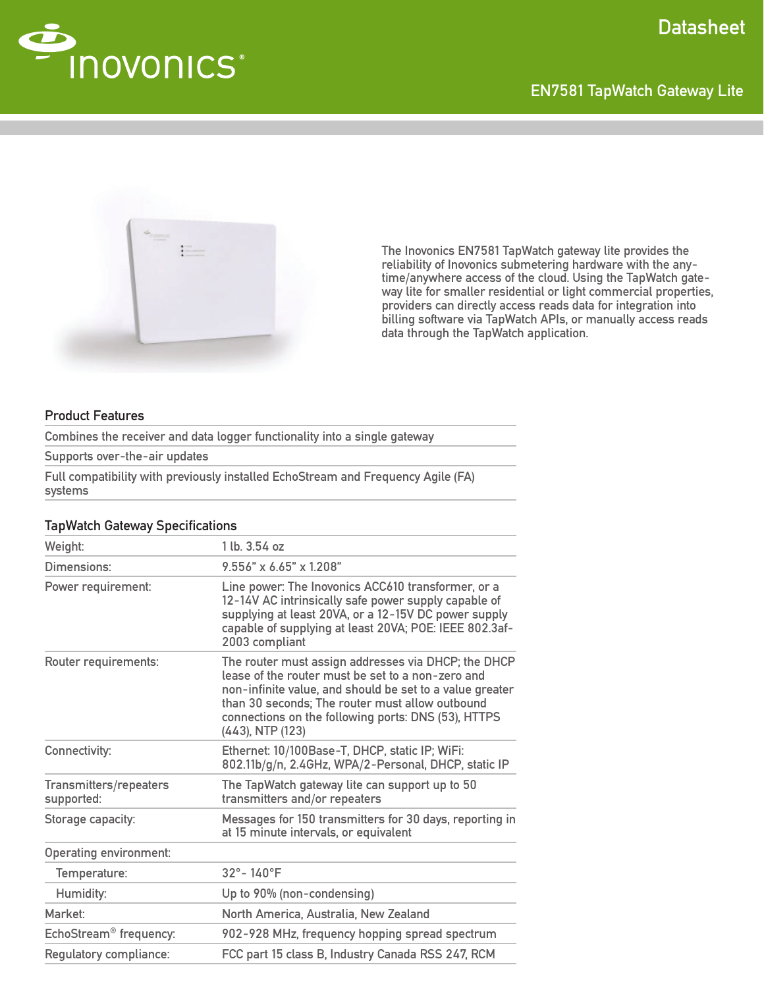



The Inovonics EN7581 TapWatch gateway lite provides the reliability of Inovonics submetering hardware with the anytime/anywhere access of the cloud. Using the TapWatch gateway lite for smaller residential or light commercial properties, providers can directly access reads data for integration into billing software via TapWatch APIs, or manually access reads data through the TapWatch application.

### Product Features

Combines the receiver and data logger functionality into a single gateway

Supports over-the-air updates

Full compatibility with previously installed EchoStream and Frequency Agile (FA) systems

## Weight: 1 lb. 3.54 oz Dimensions: 9.556" x 6.65" x 1.208" Power requirement: Line power: The Inovonics ACC610 transformer, or a 12-14V AC intrinsically safe power supply capable of supplying at least 20VA, or a 12-15V DC power supply capable of supplying at least 20VA; POE: IEEE 802.3af-2003 compliant Router requirements: The router must assign addresses via DHCP; the DHCP lease of the router must be set to a non-zero and non-infinite value, and should be set to a value greater than 30 seconds; The router must allow outbound connections on the following ports: DNS (53), HTTPS (443), NTP (123) Connectivity: Ethernet: 10/100Base-T, DHCP, static IP; WiFi: 802.11b/g/n, 2.4GHz, WPA/2-Personal, DHCP, static IP Transmitters/repeaters supported: The TapWatch gateway lite can support up to 50 transmitters and/or repeaters Storage capacity: Messages for 150 transmitters for 30 days, reporting in at 15 minute intervals, or equivalent Operating environment: Temperature: 32°-140°F Humidity: Up to 90% (non-condensing) Market: Market: North America, Australia, New Zealand EchoStream® frequency: 902-928 MHz, frequency hopping spread spectrum Regulatory compliance: FCC part 15 class B, Industry Canada RSS 247, RCM

#### **TapWatch Gateway Specifications**